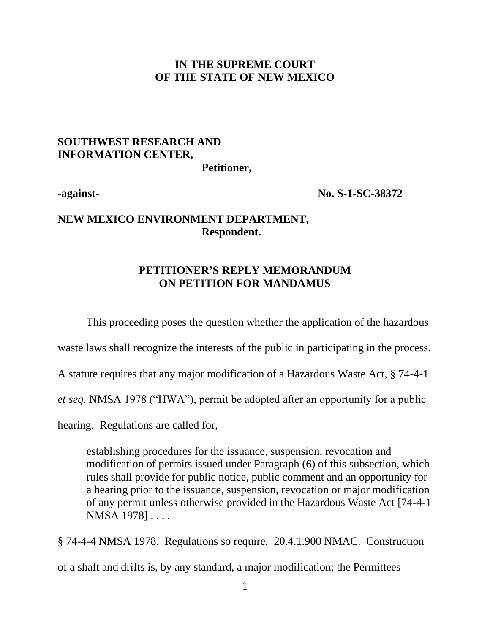#### **IN THE SUPREME COURT OF THE STATE OF NEW MEXICO**

# **SOUTHWEST RESEARCH AND INFORMATION CENTER,**

**Petitioner,**

**-against- No. S-1-SC-38372**

### **NEW MEXICO ENVIRONMENT DEPARTMENT, Respondent.**

#### **PETITIONER'S REPLY MEMORANDUM ON PETITION FOR MANDAMUS**

This proceeding poses the question whether the application of the hazardous

waste laws shall recognize the interests of the public in participating in the process.

A statute requires that any major modification of a Hazardous Waste Act, § 74-4-1

*et seq.* NMSA 1978 ("HWA"), permit be adopted after an opportunity for a public

hearing. Regulations are called for,

establishing procedures for the issuance, suspension, revocation and modification of permits issued under Paragraph (6) of this subsection, which rules shall provide for public notice, public comment and an opportunity for a hearing prior to the issuance, suspension, revocation or major modification of any permit unless otherwise provided in the Hazardous Waste Act [74-4-1 NMSA 1978] . . . .

§ 74-4-4 NMSA 1978. Regulations so require. 20.4.1.900 NMAC. Construction of a shaft and drifts is, by any standard, a major modification; the Permittees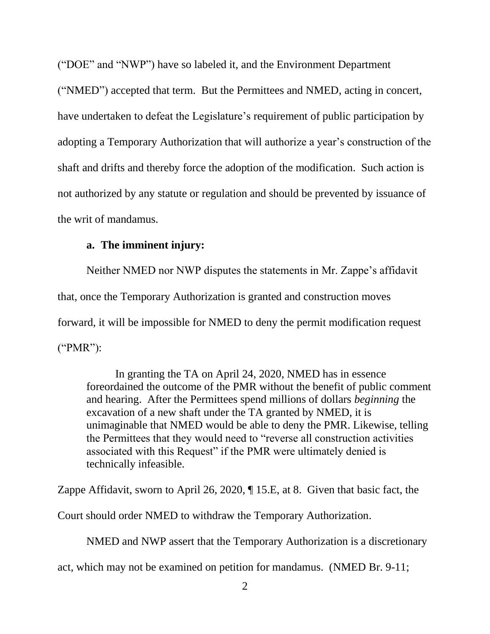("DOE" and "NWP") have so labeled it, and the Environment Department ("NMED") accepted that term. But the Permittees and NMED, acting in concert, have undertaken to defeat the Legislature's requirement of public participation by adopting a Temporary Authorization that will authorize a year's construction of the shaft and drifts and thereby force the adoption of the modification. Such action is not authorized by any statute or regulation and should be prevented by issuance of the writ of mandamus.

#### **a. The imminent injury:**

Neither NMED nor NWP disputes the statements in Mr. Zappe's affidavit that, once the Temporary Authorization is granted and construction moves forward, it will be impossible for NMED to deny the permit modification request ("PMR"):

In granting the TA on April 24, 2020, NMED has in essence foreordained the outcome of the PMR without the benefit of public comment and hearing. After the Permittees spend millions of dollars *beginning* the excavation of a new shaft under the TA granted by NMED, it is unimaginable that NMED would be able to deny the PMR. Likewise, telling the Permittees that they would need to "reverse all construction activities associated with this Request" if the PMR were ultimately denied is technically infeasible.

Zappe Affidavit, sworn to April 26, 2020, ¶ 15.E, at 8. Given that basic fact, the

Court should order NMED to withdraw the Temporary Authorization.

NMED and NWP assert that the Temporary Authorization is a discretionary

act, which may not be examined on petition for mandamus. (NMED Br. 9-11;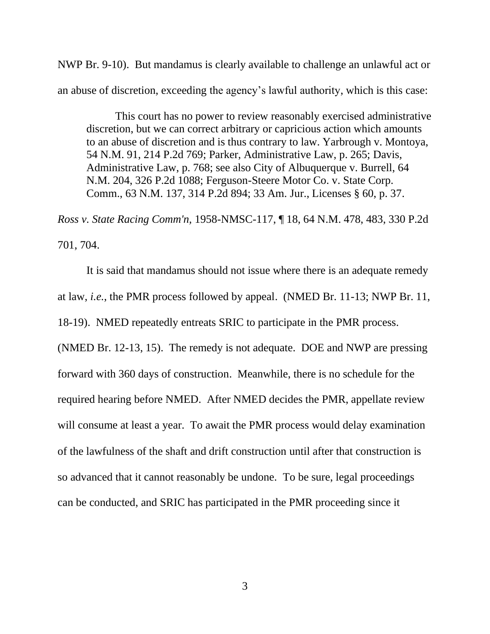NWP Br. 9-10). But mandamus is clearly available to challenge an unlawful act or an abuse of discretion, exceeding the agency's lawful authority, which is this case:

This court has no power to review reasonably exercised administrative discretion, but we can correct arbitrary or capricious action which amounts to an abuse of discretion and is thus contrary to law. Yarbrough v. Montoya, 54 N.M. 91, 214 P.2d 769; Parker, Administrative Law, p. 265; Davis, Administrative Law, p. 768; see also City of Albuquerque v. Burrell, 64 N.M. 204, 326 P.2d 1088; Ferguson-Steere Motor Co. v. State Corp. Comm., 63 N.M. 137, 314 P.2d 894; 33 Am. Jur., Licenses § 60, p. 37.

*Ross v. State Racing Comm'n,* [1958-NMSC-117, ¶ 18, 64 N.M. 478, 483, 330 P.2d](https://advance.lexis.com/api/document/collection/cases/id/3S3J-WH60-003D-D1NT-00000-00?page=483&reporter=3310&cite=64%20N.M.%20478&context=1000516)  [701, 704.](https://advance.lexis.com/api/document/collection/cases/id/3S3J-WH60-003D-D1NT-00000-00?page=483&reporter=3310&cite=64%20N.M.%20478&context=1000516)

It is said that mandamus should not issue where there is an adequate remedy at law, *i.e.*, the PMR process followed by appeal. (NMED Br. 11-13; NWP Br. 11, 18-19). NMED repeatedly entreats SRIC to participate in the PMR process. (NMED Br. 12-13, 15). The remedy is not adequate. DOE and NWP are pressing forward with 360 days of construction. Meanwhile, there is no schedule for the required hearing before NMED. After NMED decides the PMR, appellate review will consume at least a year. To await the PMR process would delay examination of the lawfulness of the shaft and drift construction until after that construction is so advanced that it cannot reasonably be undone. To be sure, legal proceedings can be conducted, and SRIC has participated in the PMR proceeding since it

3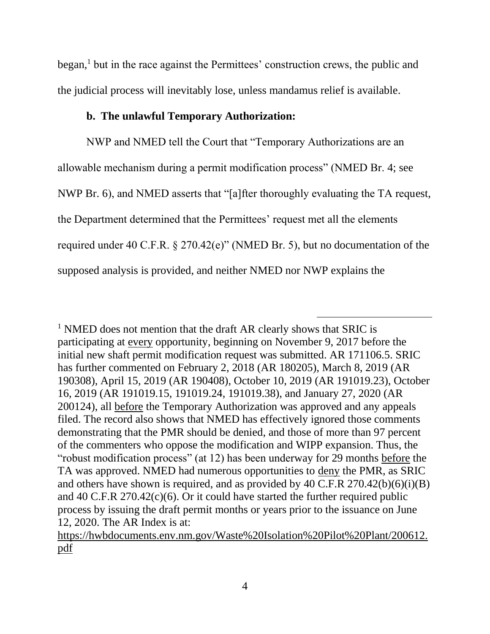$began$ ,<sup>1</sup> but in the race against the Permittees' construction crews, the public and the judicial process will inevitably lose, unless mandamus relief is available.

#### **b. The unlawful Temporary Authorization:**

NWP and NMED tell the Court that "Temporary Authorizations are an allowable mechanism during a permit modification process" (NMED Br. 4; see NWP Br. 6), and NMED asserts that "[a]fter thoroughly evaluating the TA request, the Department determined that the Permittees' request met all the elements required under 40 C.F.R. § 270.42(e)" (NMED Br. 5), but no documentation of the supposed analysis is provided, and neither NMED nor NWP explains the

<sup>1</sup> NMED does not mention that the draft AR clearly shows that SRIC is participating at every opportunity, beginning on November 9, 2017 before the initial new shaft permit modification request was submitted. AR 171106.5. SRIC has further commented on February 2, 2018 (AR 180205), March 8, 2019 (AR 190308), April 15, 2019 (AR 190408), October 10, 2019 (AR 191019.23), October 16, 2019 (AR 191019.15, 191019.24, 191019.38), and January 27, 2020 (AR 200124), all before the Temporary Authorization was approved and any appeals filed. The record also shows that NMED has effectively ignored those comments demonstrating that the PMR should be denied, and those of more than 97 percent of the commenters who oppose the modification and WIPP expansion. Thus, the "robust modification process" (at 12) has been underway for 29 months before the TA was approved. NMED had numerous opportunities to deny the PMR, as SRIC and others have shown is required, and as provided by 40 C.F.R  $270.42(b)(6)(i)(B)$ and 40 C.F.R 270.42(c)(6). Or it could have started the further required public process by issuing the draft permit months or years prior to the issuance on June 12, 2020. The AR Index is at:

[https://hwbdocuments.env.nm.gov/Waste%20Isolation%20Pilot%20Plant/200612.](https://hwbdocuments.env.nm.gov/Waste%20Isolation%20Pilot%20Plant/200612.pdf) [pdf](https://hwbdocuments.env.nm.gov/Waste%20Isolation%20Pilot%20Plant/200612.pdf)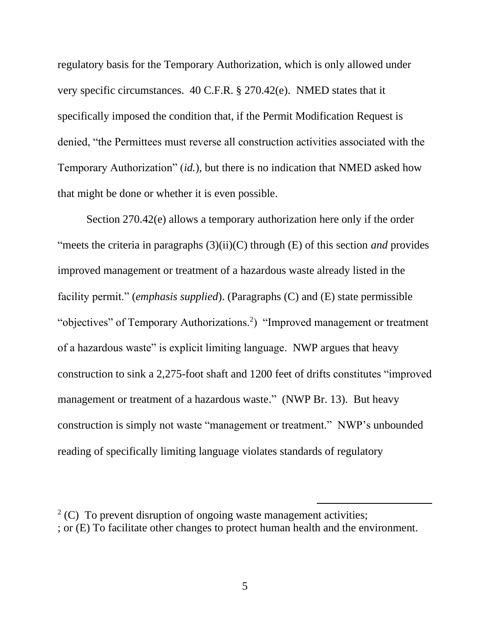regulatory basis for the Temporary Authorization, which is only allowed under very specific circumstances. 40 C.F.R. § 270.42(e). NMED states that it specifically imposed the condition that, if the Permit Modification Request is denied, "the Permittees must reverse all construction activities associated with the Temporary Authorization" (*id.*), but there is no indication that NMED asked how that might be done or whether it is even possible.

Section 270.42(e) allows a temporary authorization here only if the order "meets the criteria in paragraphs (3)(ii)(C) through (E) of this section *and* provides improved management or treatment of a hazardous waste already listed in the facility permit." (*emphasis supplied*). (Paragraphs (C) and (E) state permissible "objectives" of Temporary Authorizations.<sup>2</sup>) "Improved management or treatment of a hazardous waste" is explicit limiting language. NWP argues that heavy construction to sink a 2,275-foot shaft and 1200 feet of drifts constitutes "improved management or treatment of a hazardous waste." (NWP Br. 13). But heavy construction is simply not waste "management or treatment." NWP's unbounded reading of specifically limiting language violates standards of regulatory

 $2^2$  (C) To prevent disruption of ongoing waste management activities; ; or (E) To facilitate other changes to protect human health and the environment.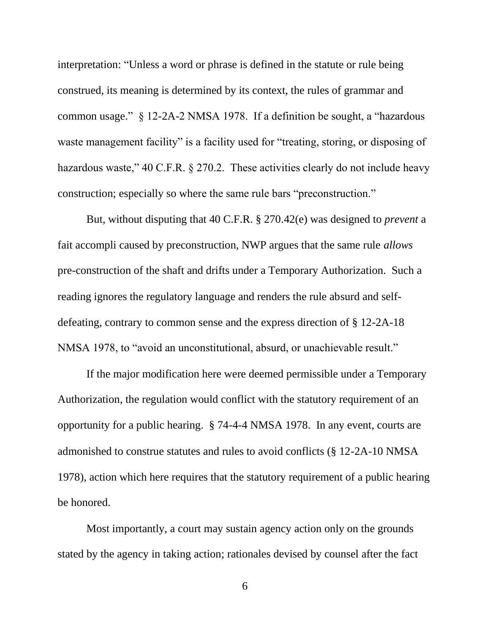interpretation: "Unless a word or phrase is defined in the statute or rule being construed, its meaning is determined by its context, the rules of grammar and common usage." § 12-2A-2 NMSA 1978. If a definition be sought, a "hazardous waste management facility" is a facility used for "treating, storing, or disposing of hazardous waste," 40 C.F.R. § 270.2. These activities clearly do not include heavy construction; especially so where the same rule bars "preconstruction."

But, without disputing that 40 C.F.R. § 270.42(e) was designed to *prevent* a fait accompli caused by preconstruction, NWP argues that the same rule *allows* pre-construction of the shaft and drifts under a Temporary Authorization. Such a reading ignores the regulatory language and renders the rule absurd and selfdefeating, contrary to common sense and the express direction of § 12-2A-18 NMSA 1978, to "avoid an unconstitutional, absurd, or unachievable result."

If the major modification here were deemed permissible under a Temporary Authorization, the regulation would conflict with the statutory requirement of an opportunity for a public hearing. § 74-4-4 NMSA 1978. In any event, courts are admonished to construe statutes and rules to avoid conflicts (§ 12-2A-10 NMSA 1978), action which here requires that the statutory requirement of a public hearing be honored.

Most importantly, a court may sustain agency action only on the grounds stated by the agency in taking action; rationales devised by counsel after the fact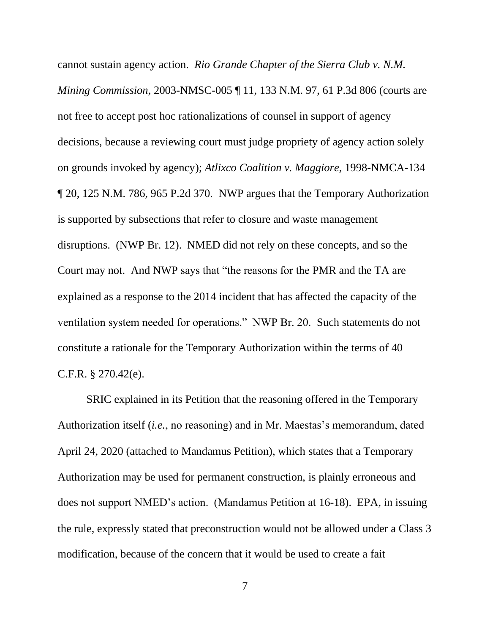cannot sustain agency action. *Rio Grande Chapter of the Sierra Club v. N.M. Mining Commission,* 2003-NMSC-005 ¶ 11, 133 N.M. 97, 61 P.3d 806 (courts are not free to accept post hoc rationalizations of counsel in support of agency decisions, because a reviewing court must judge propriety of agency action solely on grounds invoked by agency); *Atlixco Coalition v. Maggiore,* 1998-NMCA-134 ¶ 20, 125 N.M. 786, 965 P.2d 370. NWP argues that the Temporary Authorization is supported by subsections that refer to closure and waste management disruptions. (NWP Br. 12). NMED did not rely on these concepts, and so the Court may not. And NWP says that "the reasons for the PMR and the TA are explained as a response to the 2014 incident that has affected the capacity of the ventilation system needed for operations." NWP Br. 20. Such statements do not constitute a rationale for the Temporary Authorization within the terms of 40 C.F.R. § 270.42(e).

SRIC explained in its Petition that the reasoning offered in the Temporary Authorization itself (*i.e.*, no reasoning) and in Mr. Maestas's memorandum, dated April 24, 2020 (attached to Mandamus Petition), which states that a Temporary Authorization may be used for permanent construction, is plainly erroneous and does not support NMED's action. (Mandamus Petition at 16-18). EPA, in issuing the rule, expressly stated that preconstruction would not be allowed under a Class 3 modification, because of the concern that it would be used to create a fait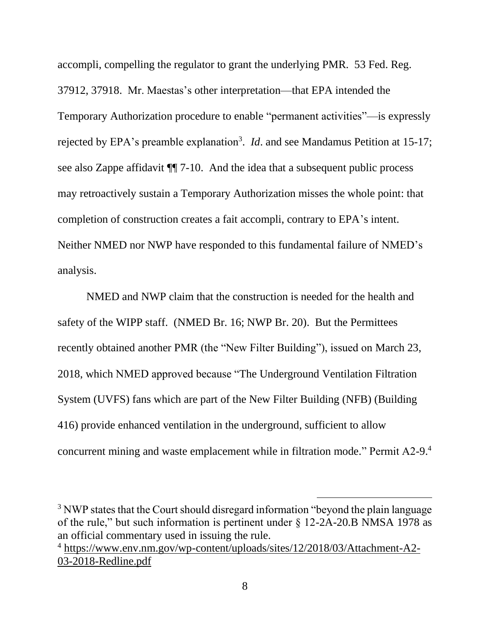accompli, compelling the regulator to grant the underlying PMR. 53 Fed. Reg. 37912, 37918. Mr. Maestas's other interpretation—that EPA intended the Temporary Authorization procedure to enable "permanent activities"—is expressly rejected by EPA's preamble explanation<sup>3</sup>. *Id*. and see Mandamus Petition at 15-17; see also Zappe affidavit ¶¶ 7-10. And the idea that a subsequent public process may retroactively sustain a Temporary Authorization misses the whole point: that completion of construction creates a fait accompli, contrary to EPA's intent. Neither NMED nor NWP have responded to this fundamental failure of NMED's analysis.

NMED and NWP claim that the construction is needed for the health and safety of the WIPP staff. (NMED Br. 16; NWP Br. 20). But the Permittees recently obtained another PMR (the "New Filter Building"), issued on March 23, 2018, which NMED approved because "The Underground Ventilation Filtration System (UVFS) fans which are part of the New Filter Building (NFB) (Building 416) provide enhanced ventilation in the underground, sufficient to allow concurrent mining and waste emplacement while in filtration mode." Permit A2-9.<sup>4</sup>

<sup>&</sup>lt;sup>3</sup> NWP states that the Court should disregard information "beyond the plain language of the rule," but such information is pertinent under § 12-2A-20.B NMSA 1978 as an official commentary used in issuing the rule.

<sup>4</sup> [https://www.env.nm.gov/wp-content/uploads/sites/12/2018/03/Attachment-A2-](https://www.env.nm.gov/wp-content/uploads/sites/12/2018/03/Attachment-A2-03-2018-Redline.pdf) [03-2018-Redline.pdf](https://www.env.nm.gov/wp-content/uploads/sites/12/2018/03/Attachment-A2-03-2018-Redline.pdf)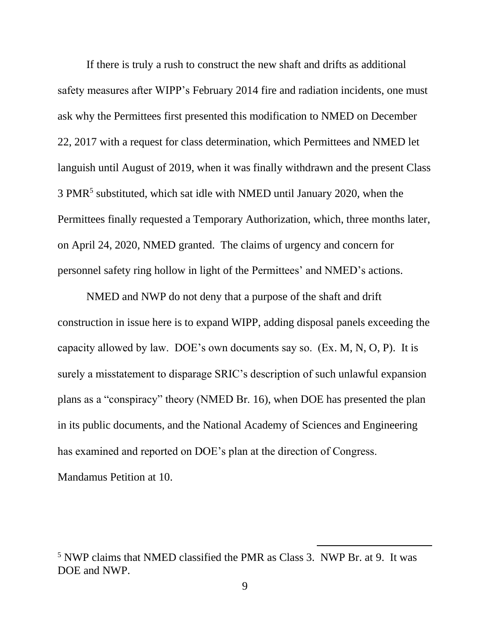If there is truly a rush to construct the new shaft and drifts as additional safety measures after WIPP's February 2014 fire and radiation incidents, one must ask why the Permittees first presented this modification to NMED on December 22, 2017 with a request for class determination, which Permittees and NMED let languish until August of 2019, when it was finally withdrawn and the present Class 3 PMR<sup>5</sup> substituted, which sat idle with NMED until January 2020, when the Permittees finally requested a Temporary Authorization, which, three months later, on April 24, 2020, NMED granted. The claims of urgency and concern for personnel safety ring hollow in light of the Permittees' and NMED's actions.

NMED and NWP do not deny that a purpose of the shaft and drift construction in issue here is to expand WIPP, adding disposal panels exceeding the capacity allowed by law. DOE's own documents say so. (Ex. M, N, O, P). It is surely a misstatement to disparage SRIC's description of such unlawful expansion plans as a "conspiracy" theory (NMED Br. 16), when DOE has presented the plan in its public documents, and the National Academy of Sciences and Engineering has examined and reported on DOE's plan at the direction of Congress. Mandamus Petition at 10.

<sup>5</sup> NWP claims that NMED classified the PMR as Class 3. NWP Br. at 9. It was DOE and NWP.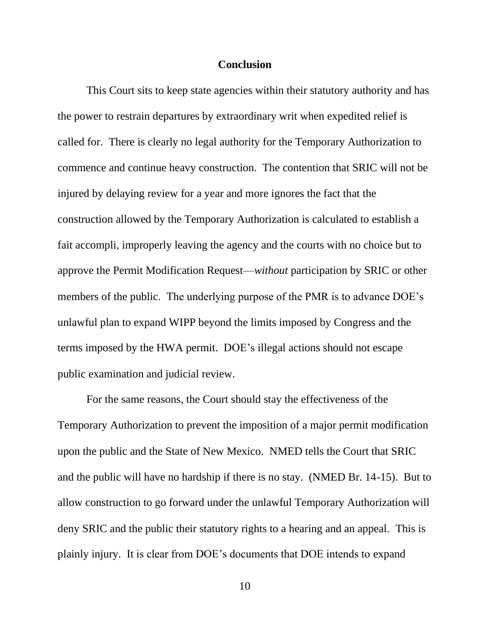#### **Conclusion**

This Court sits to keep state agencies within their statutory authority and has the power to restrain departures by extraordinary writ when expedited relief is called for. There is clearly no legal authority for the Temporary Authorization to commence and continue heavy construction. The contention that SRIC will not be injured by delaying review for a year and more ignores the fact that the construction allowed by the Temporary Authorization is calculated to establish a fait accompli, improperly leaving the agency and the courts with no choice but to approve the Permit Modification Request—*without* participation by SRIC or other members of the public. The underlying purpose of the PMR is to advance DOE's unlawful plan to expand WIPP beyond the limits imposed by Congress and the terms imposed by the HWA permit. DOE's illegal actions should not escape public examination and judicial review.

For the same reasons, the Court should stay the effectiveness of the Temporary Authorization to prevent the imposition of a major permit modification upon the public and the State of New Mexico. NMED tells the Court that SRIC and the public will have no hardship if there is no stay. (NMED Br. 14-15). But to allow construction to go forward under the unlawful Temporary Authorization will deny SRIC and the public their statutory rights to a hearing and an appeal. This is plainly injury. It is clear from DOE's documents that DOE intends to expand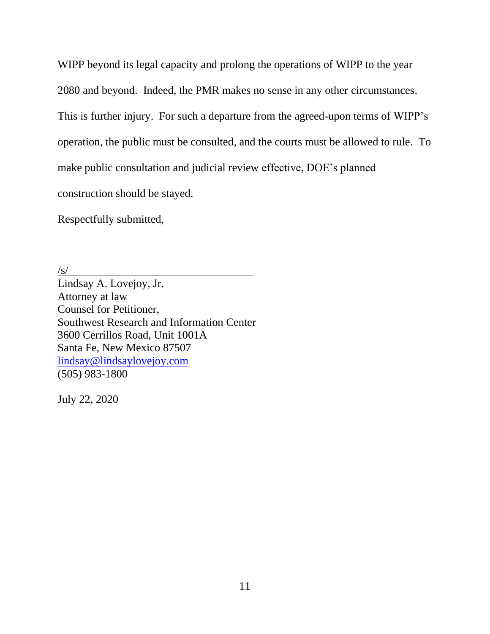WIPP beyond its legal capacity and prolong the operations of WIPP to the year 2080 and beyond. Indeed, the PMR makes no sense in any other circumstances. This is further injury. For such a departure from the agreed-upon terms of WIPP's operation, the public must be consulted, and the courts must be allowed to rule. To make public consultation and judicial review effective, DOE's planned construction should be stayed.

Respectfully submitted,

 $\sqrt{s}$ /

Lindsay A. Lovejoy, Jr. Attorney at law Counsel for Petitioner, Southwest Research and Information Center 3600 Cerrillos Road, Unit 1001A Santa Fe, New Mexico 87507 [lindsay@lindsaylovejoy.com](mailto:lindsay@lindsaylovejoy.com) (505) 983-1800

July 22, 2020